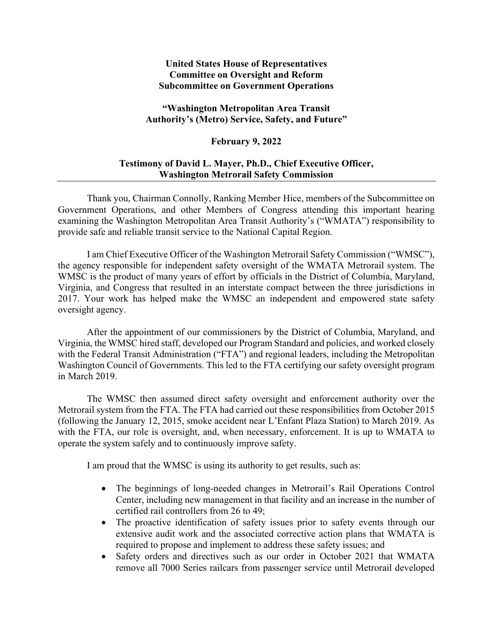## **United States House of Representatives Committee on Oversight and Reform Subcommittee on Government Operations**

## **"Washington Metropolitan Area Transit Authority's (Metro) Service, Safety, and Future"**

## **February 9, 2022**

## **Testimony of David L. Mayer, Ph.D., Chief Executive Officer, Washington Metrorail Safety Commission**

Thank you, Chairman Connolly, Ranking Member Hice, members of the Subcommittee on Government Operations, and other Members of Congress attending this important hearing examining the Washington Metropolitan Area Transit Authority's ("WMATA") responsibility to provide safe and reliable transit service to the National Capital Region.

I am Chief Executive Officer of the Washington Metrorail Safety Commission ("WMSC"), the agency responsible for independent safety oversight of the WMATA Metrorail system. The WMSC is the product of many years of effort by officials in the District of Columbia, Maryland, Virginia, and Congress that resulted in an interstate compact between the three jurisdictions in 2017. Your work has helped make the WMSC an independent and empowered state safety oversight agency.

After the appointment of our commissioners by the District of Columbia, Maryland, and Virginia, the WMSC hired staff, developed our Program Standard and policies, and worked closely with the Federal Transit Administration ("FTA") and regional leaders, including the Metropolitan Washington Council of Governments. This led to the FTA certifying our safety oversight program in March 2019.

The WMSC then assumed direct safety oversight and enforcement authority over the Metrorail system from the FTA. The FTA had carried out these responsibilities from October 2015 (following the January 12, 2015, smoke accident near L'Enfant Plaza Station) to March 2019. As with the FTA, our role is oversight, and, when necessary, enforcement. It is up to WMATA to operate the system safely and to continuously improve safety.

I am proud that the WMSC is using its authority to get results, such as:

- The beginnings of long-needed changes in Metrorail's Rail Operations Control Center, including new management in that facility and an increase in the number of certified rail controllers from 26 to 49;
- The proactive identification of safety issues prior to safety events through our extensive audit work and the associated corrective action plans that WMATA is required to propose and implement to address these safety issues; and
- Safety orders and directives such as our order in October 2021 that WMATA remove all 7000 Series railcars from passenger service until Metrorail developed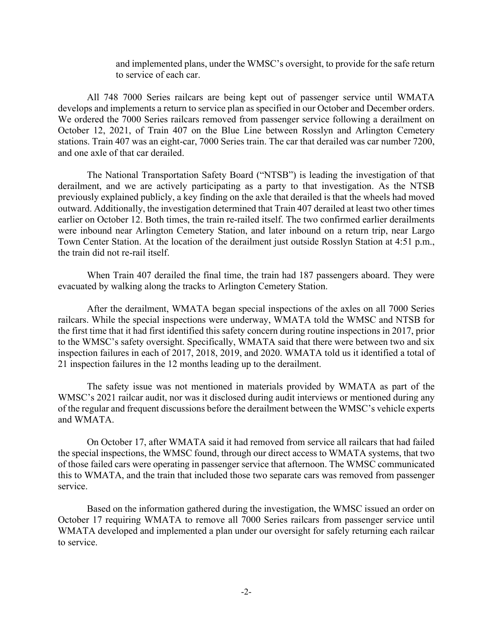and implemented plans, under the WMSC's oversight, to provide for the safe return to service of each car.

All 748 7000 Series railcars are being kept out of passenger service until WMATA develops and implements a return to service plan as specified in our October and December orders. We ordered the 7000 Series railcars removed from passenger service following a derailment on October 12, 2021, of Train 407 on the Blue Line between Rosslyn and Arlington Cemetery stations. Train 407 was an eight-car, 7000 Series train. The car that derailed was car number 7200, and one axle of that car derailed.

The National Transportation Safety Board ("NTSB") is leading the investigation of that derailment, and we are actively participating as a party to that investigation. As the NTSB previously explained publicly, a key finding on the axle that derailed is that the wheels had moved outward. Additionally, the investigation determined that Train 407 derailed at least two other times earlier on October 12. Both times, the train re-railed itself. The two confirmed earlier derailments were inbound near Arlington Cemetery Station, and later inbound on a return trip, near Largo Town Center Station. At the location of the derailment just outside Rosslyn Station at 4:51 p.m., the train did not re-rail itself.

When Train 407 derailed the final time, the train had 187 passengers aboard. They were evacuated by walking along the tracks to Arlington Cemetery Station.

After the derailment, WMATA began special inspections of the axles on all 7000 Series railcars. While the special inspections were underway, WMATA told the WMSC and NTSB for the first time that it had first identified this safety concern during routine inspections in 2017, prior to the WMSC's safety oversight. Specifically, WMATA said that there were between two and six inspection failures in each of 2017, 2018, 2019, and 2020. WMATA told us it identified a total of 21 inspection failures in the 12 months leading up to the derailment.

The safety issue was not mentioned in materials provided by WMATA as part of the WMSC's 2021 railcar audit, nor was it disclosed during audit interviews or mentioned during any of the regular and frequent discussions before the derailment between the WMSC's vehicle experts and WMATA.

On October 17, after WMATA said it had removed from service all railcars that had failed the special inspections, the WMSC found, through our direct access to WMATA systems, that two of those failed cars were operating in passenger service that afternoon. The WMSC communicated this to WMATA, and the train that included those two separate cars was removed from passenger service.

Based on the information gathered during the investigation, the WMSC issued an order on October 17 requiring WMATA to remove all 7000 Series railcars from passenger service until WMATA developed and implemented a plan under our oversight for safely returning each railcar to service.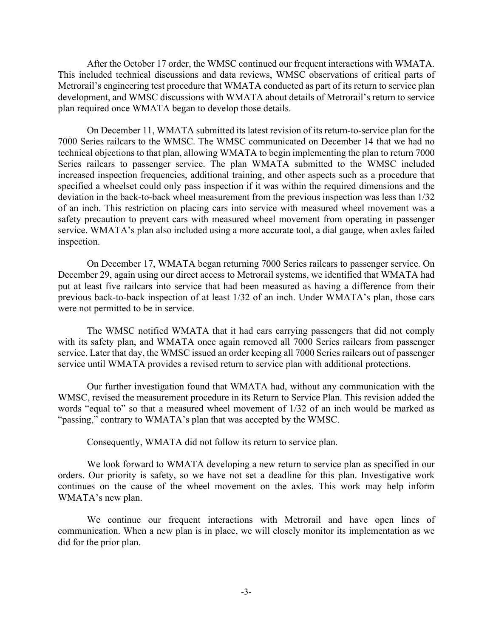After the October 17 order, the WMSC continued our frequent interactions with WMATA. This included technical discussions and data reviews, WMSC observations of critical parts of Metrorail's engineering test procedure that WMATA conducted as part of its return to service plan development, and WMSC discussions with WMATA about details of Metrorail's return to service plan required once WMATA began to develop those details.

On December 11, WMATA submitted its latest revision of its return-to-service plan for the 7000 Series railcars to the WMSC. The WMSC communicated on December 14 that we had no technical objections to that plan, allowing WMATA to begin implementing the plan to return 7000 Series railcars to passenger service. The plan WMATA submitted to the WMSC included increased inspection frequencies, additional training, and other aspects such as a procedure that specified a wheelset could only pass inspection if it was within the required dimensions and the deviation in the back-to-back wheel measurement from the previous inspection was less than 1/32 of an inch. This restriction on placing cars into service with measured wheel movement was a safety precaution to prevent cars with measured wheel movement from operating in passenger service. WMATA's plan also included using a more accurate tool, a dial gauge, when axles failed inspection.

On December 17, WMATA began returning 7000 Series railcars to passenger service. On December 29, again using our direct access to Metrorail systems, we identified that WMATA had put at least five railcars into service that had been measured as having a difference from their previous back-to-back inspection of at least 1/32 of an inch. Under WMATA's plan, those cars were not permitted to be in service.

The WMSC notified WMATA that it had cars carrying passengers that did not comply with its safety plan, and WMATA once again removed all 7000 Series railcars from passenger service. Later that day, the WMSC issued an order keeping all 7000 Series railcars out of passenger service until WMATA provides a revised return to service plan with additional protections.

Our further investigation found that WMATA had, without any communication with the WMSC, revised the measurement procedure in its Return to Service Plan. This revision added the words "equal to" so that a measured wheel movement of 1/32 of an inch would be marked as "passing," contrary to WMATA's plan that was accepted by the WMSC.

Consequently, WMATA did not follow its return to service plan.

We look forward to WMATA developing a new return to service plan as specified in our orders. Our priority is safety, so we have not set a deadline for this plan. Investigative work continues on the cause of the wheel movement on the axles. This work may help inform WMATA's new plan.

We continue our frequent interactions with Metrorail and have open lines of communication. When a new plan is in place, we will closely monitor its implementation as we did for the prior plan.